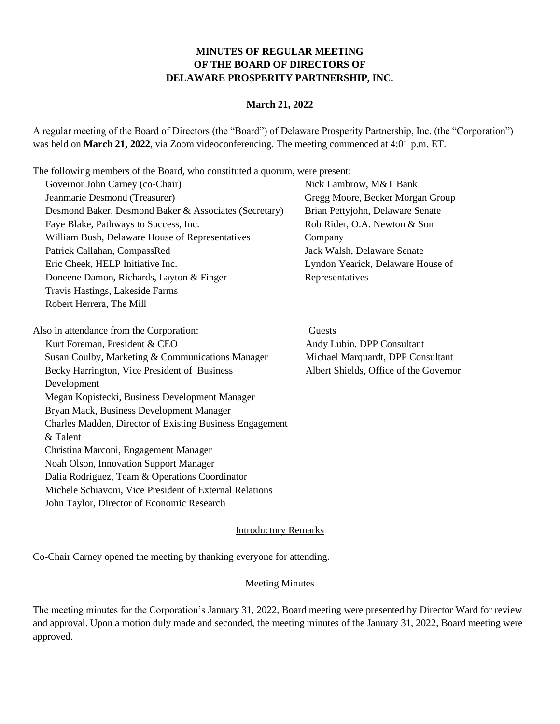## **MINUTES OF REGULAR MEETING OF THE BOARD OF DIRECTORS OF DELAWARE PROSPERITY PARTNERSHIP, INC.**

#### **March 21, 2022**

A regular meeting of the Board of Directors (the "Board") of Delaware Prosperity Partnership, Inc. (the "Corporation") was held on **March 21, 2022**, via Zoom videoconferencing. The meeting commenced at 4:01 p.m. ET.

The following members of the Board, who constituted a quorum, were present:

| Governor John Carney (co-Chair)                          | Nick Lambrow, M&T Bank                 |
|----------------------------------------------------------|----------------------------------------|
| Jeanmarie Desmond (Treasurer)                            | Gregg Moore, Becker Morgan Group       |
| Desmond Baker, Desmond Baker & Associates (Secretary)    | Brian Pettyjohn, Delaware Senate       |
| Faye Blake, Pathways to Success, Inc.                    | Rob Rider, O.A. Newton & Son           |
| William Bush, Delaware House of Representatives          | Company                                |
| Patrick Callahan, CompassRed                             | Jack Walsh, Delaware Senate            |
| Eric Cheek, HELP Initiative Inc.                         | Lyndon Yearick, Delaware House of      |
| Doneene Damon, Richards, Layton & Finger                 | Representatives                        |
| Travis Hastings, Lakeside Farms                          |                                        |
| Robert Herrera, The Mill                                 |                                        |
|                                                          |                                        |
| Also in attendance from the Corporation:                 | Guests                                 |
| Kurt Foreman, President & CEO                            | Andy Lubin, DPP Consultant             |
| Susan Coulby, Marketing & Communications Manager         | Michael Marquardt, DPP Consultant      |
| Becky Harrington, Vice President of Business             | Albert Shields, Office of the Governor |
| Development                                              |                                        |
| Megan Kopistecki, Business Development Manager           |                                        |
| Bryan Mack, Business Development Manager                 |                                        |
| Charles Madden, Director of Existing Business Engagement |                                        |
| & Talent                                                 |                                        |
| Christina Marconi, Engagement Manager                    |                                        |
| Noah Olson, Innovation Support Manager                   |                                        |
| Dalia Rodriguez, Team & Operations Coordinator           |                                        |
| Michele Schiavoni, Vice President of External Relations  |                                        |
| John Taylor, Director of Economic Research               |                                        |

Introductory Remarks

Co-Chair Carney opened the meeting by thanking everyone for attending.

#### **Meeting Minutes**

The meeting minutes for the Corporation's January 31, 2022, Board meeting were presented by Director Ward for review and approval. Upon a motion duly made and seconded, the meeting minutes of the January 31, 2022, Board meeting were approved.